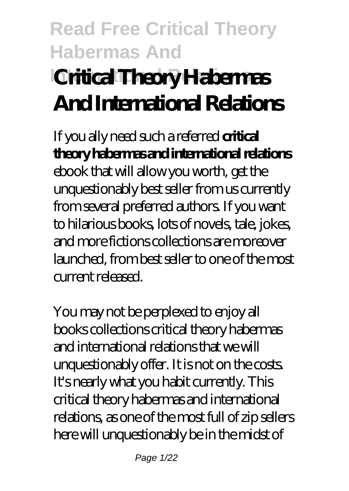# **Read Free Critical Theory Habermas And International Relations Critical Theory Habermas And International Relations**

If you ally need such a referred **critical theory habermas and international relations** ebook that will allow you worth, get the unquestionably best seller from us currently from several preferred authors. If you want to hilarious books, lots of novels, tale, jokes, and more fictions collections are moreover launched, from best seller to one of the most current released.

You may not be perplexed to enjoy all books collections critical theory habermas and international relations that we will unquestionably offer. It is not on the costs. It's nearly what you habit currently. This critical theory habermas and international relations, as one of the most full of zip sellers here will unquestionably be in the midst of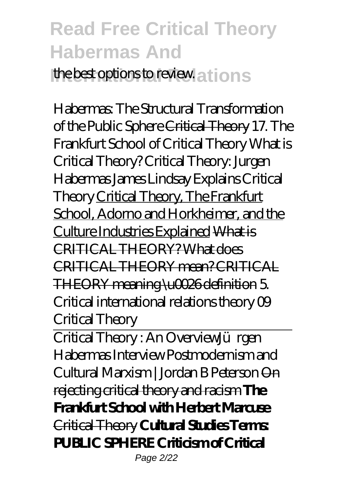the best options to review. a thousands

Habermas: The Structural Transformation of the Public Sphere Critical Theory *17. The Frankfurt School of Critical Theory What is Critical Theory?* Critical Theory: Jurgen Habermas *James Lindsay Explains Critical Theory* Critical Theory, The Frankfurt School, Adorno and Horkheimer, and the Culture Industries Explained What is CRITICAL THEORY? What does CRITICAL THEORY mean? CRITICAL THEORY meaning \u0026 definition 5. Critical international relations theory 09 Critical Theory

Critical Theory: An Overview*Jürgen Habermas Interview Postmodernism and Cultural Marxism | Jordan B Peterson* On rejecting critical theory and racism **The Frankfurt School with Herbert Marcuse** Critical Theory **Cultural Studies Terms: PUBLIC SPHERE Criticism of Critical** Page 2/22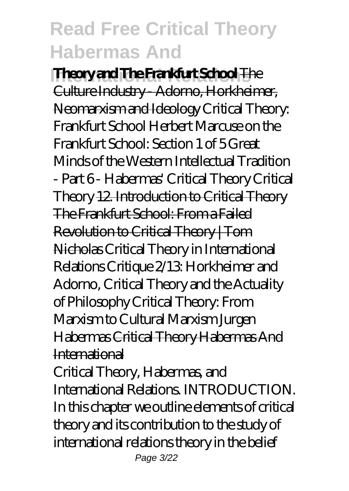**International Relations Theory and The Frankfurt School** The Culture Industry - Adorno, Horkheimer, Neomarxism and Ideology *Critical Theory: Frankfurt School Herbert Marcuse on the Frankfurt School: Section 1 of 5 Great Minds of the Western Intellectual Tradition - Part 6 - Habermas' Critical Theory* Critical Theory 12. Introduction to Critical Theory The Frankfurt School: From a Failed Revolution to Critical Theory | Tom Nicholas *Critical Theory in International Relations Critique 2/13: Horkheimer and Adorno, Critical Theory and the Actuality of Philosophy Critical Theory: From Marxism to Cultural Marxism Jurgen Habermas* Critical Theory Habermas And International

Critical Theory, Habermas, and International Relations. INTRODUCTION. In this chapter we outline elements of critical theory and its contribution to the study of international relations theory in the belief Page 3/22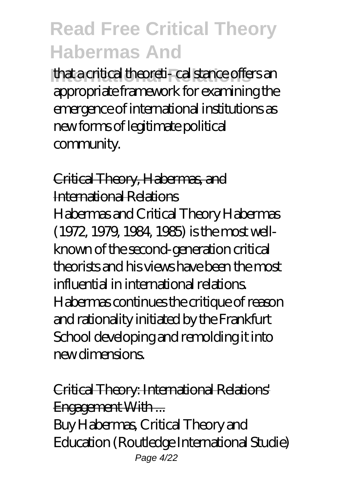**International Relations** that a critical theoreti- cal stance offers an appropriate framework for examining the emergence of international institutions as new forms of legitimate political community.

Critical Theory, Habermas, and International Relations Habermas and Critical Theory Habermas (1972, 1979, 1984, 1985) is the most wellknown of the second-generation critical theorists and his views have been the most influential in international relations. Habermas continues the critique of reason and rationality initiated by the Frankfurt School developing and remolding it into new dimensions.

Critical Theory: International Relations' Engagement With ... Buy Habermas, Critical Theory and

Education (Routledge International Studie) Page 4/22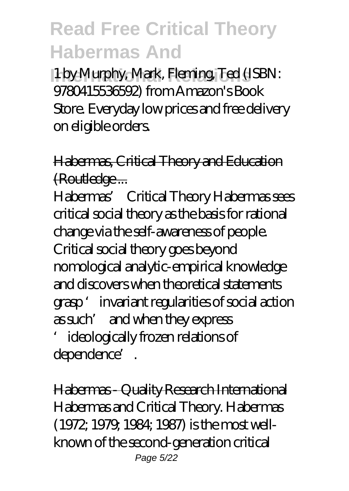**International Relations** 1 by Murphy, Mark, Fleming, Ted (ISBN: 9780415536592) from Amazon's Book Store. Everyday low prices and free delivery on eligible orders.

Habermas, Critical Theory and Education (Routledge ...

Habermas' Critical Theory Habermas sees critical social theory as the basis for rational change via the self-awareness of people. Critical social theory goes beyond nomological analytic-empirical knowledge and discovers when theoretical statements grasp 'invariant regularities of social action as such' and when they express 'ideologically frozen relations of

dependence'.

Habermas - Quality Research International Habermas and Critical Theory. Habermas (1972; 1979; 1984; 1987) is the most wellknown of the second-generation critical Page 5/22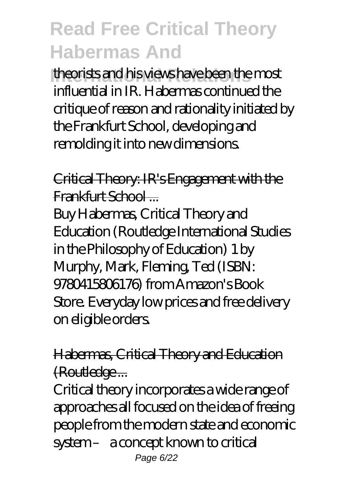**International Relations** theorists and his views have been the most influential in IR. Habermas continued the critique of reason and rationality initiated by the Frankfurt School, developing and remolding it into new dimensions.

Critical Theory: IR's Engagement with the Frankfurt School ...

Buy Habermas, Critical Theory and Education (Routledge International Studies in the Philosophy of Education) 1 by Murphy, Mark, Fleming, Ted (ISBN: 9780415806176) from Amazon's Book Store. Everyday low prices and free delivery on eligible orders.

Habermas, Critical Theory and Education (Routledge ...

Critical theory incorporates a wide range of approaches all focused on the idea of freeing people from the modern state and economic system – a concept known to critical Page 6/22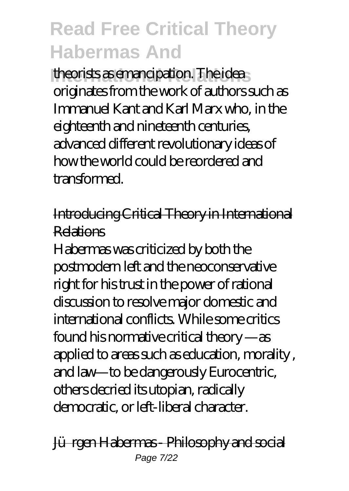theorists as emancipation. The idea originates from the work of authors such as Immanuel Kant and Karl Marx who, in the eighteenth and nineteenth centuries, advanced different revolutionary ideas of how the world could be reordered and transformed.

#### Introducing Critical Theory in International Relations

Habermas was criticized by both the postmodern left and the neoconservative right for his trust in the power of rational discussion to resolve major domestic and international conflicts. While some critics found his normative critical theory —as applied to areas such as education, morality , and law—to be dangerously Eurocentric, others decried its utopian, radically democratic, or left-liberal character.

#### Jürgen Habermas - Philosophy and social Page 7/22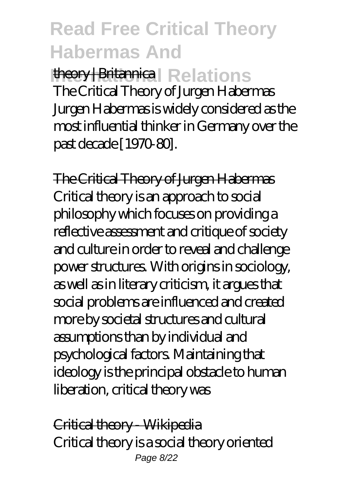**International Relations** The Critical Theory of Jurgen Habermas Jurgen Habermas is widely considered as the most influential thinker in Germany over the past decade [1970-80].

The Critical Theory of Jurgen Habermas Critical theory is an approach to social philosophy which focuses on providing a reflective assessment and critique of society and culture in order to reveal and challenge power structures. With origins in sociology, as well as in literary criticism, it argues that social problems are influenced and created more by societal structures and cultural assumptions than by individual and psychological factors. Maintaining that ideology is the principal obstacle to human liberation, critical theory was

Critical theory - Wikipedia Critical theory is a social theory oriented Page 8/22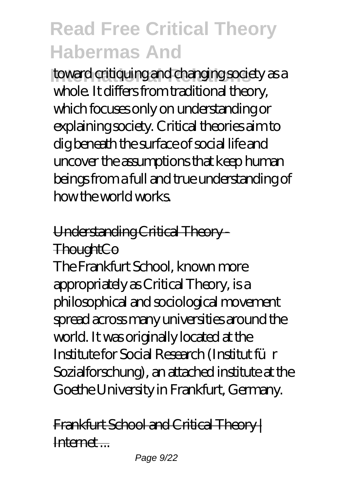**International Relations** toward critiquing and changing society as a whole. It differs from traditional theory, which focuses only on understanding or explaining society. Critical theories aim to dig beneath the surface of social life and uncover the assumptions that keep human beings from a full and true understanding of how the world works.

#### Understanding Critical Theory - **ThoughtCo**

The Frankfurt School, known more appropriately as Critical Theory, is a philosophical and sociological movement spread across many universities around the world. It was originally located at the Institute for Social Research (Institut für Sozialforschung), an attached institute at the Goethe University in Frankfurt, Germany.

Frankfurt School and Critical Theory | Internet ...

Page 9/22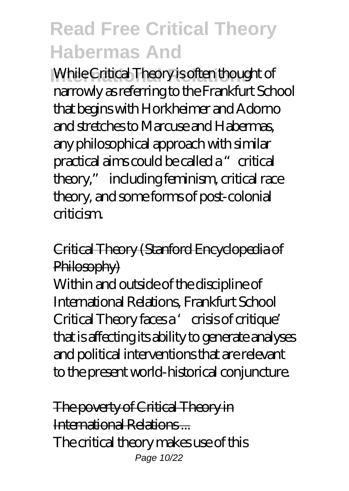**While Critical Theory is often thought of** narrowly as referring to the Frankfurt School that begins with Horkheimer and Adorno and stretches to Marcuse and Habermas, any philosophical approach with similar practical aims could be called a "critical theory," including feminism, critical race theory, and some forms of post-colonial criticism.

#### Critical Theory (Stanford Encyclopedia of Philosophy)

Within and outside of the discipline of International Relations, Frankfurt School Critical Theory faces a 'crisis of critique' that is affecting its ability to generate analyses and political interventions that are relevant to the present world-historical conjuncture.

The poverty of Critical Theory in International Relations ... The critical theory makes use of this Page 10/22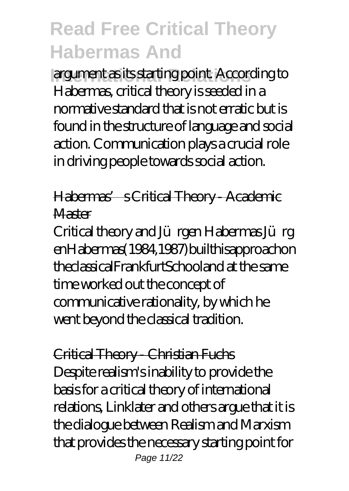**International Relations** argument as its starting point. According to Habermas, critical theory is seeded in a normative standard that is not erratic but is found in the structure of language and social action. Communication plays a crucial role in driving people towards social action.

Habermas' s Critical Theory - Academic Master

Critical theory and Jürgen Habermas Jürg enHabermas(1984,1987)builthisapproachon theclassicalFrankfurtSchooland at the same time worked out the concept of communicative rationality, by which he went beyond the classical tradition.

Critical Theory - Christian Fuchs Despite realism's inability to provide the basis for a critical theory of international relations, Linklater and others argue that it is the dialogue between Realism and Marxism that provides the necessary starting point for Page 11/22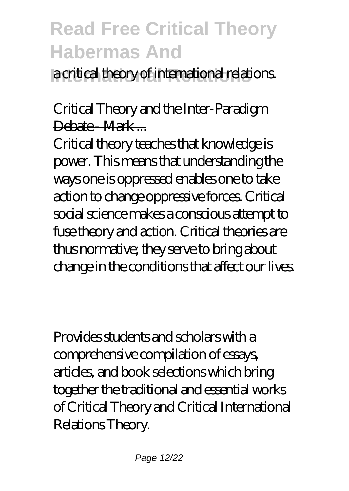**International Relations** a critical theory of international relations.

#### Critical Theory and the Inter-Paradigm Debate - Mark -

Critical theory teaches that knowledge is power. This means that understanding the ways one is oppressed enables one to take action to change oppressive forces. Critical social science makes a conscious attempt to fuse theory and action. Critical theories are thus normative; they serve to bring about change in the conditions that affect our lives.

Provides students and scholars with a comprehensive compilation of essays, articles, and book selections which bring together the traditional and essential works of Critical Theory and Critical International Relations Theory.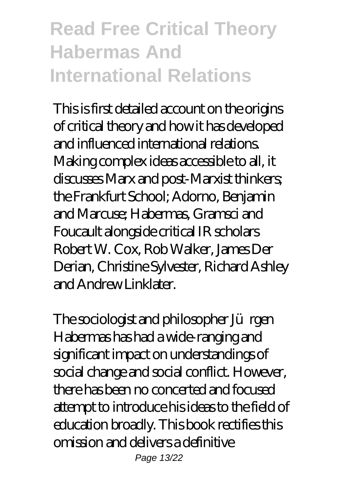### **Read Free Critical Theory Habermas And International Relations**

This is first detailed account on the origins of critical theory and how it has developed and influenced international relations. Making complex ideas accessible to all, it discusses Marx and post-Marxist thinkers; the Frankfurt School; Adorno, Benjamin and Marcuse; Habermas, Gramsci and Foucault alongside critical IR scholars Robert W. Cox, Rob Walker, James Der Derian, Christine Sylvester, Richard Ashley and Andrew Linklater.

The sociologist and philosopher Jürgen Habermas has had a wide-ranging and significant impact on understandings of social change and social conflict. However, there has been no concerted and focused attempt to introduce his ideas to the field of education broadly. This book rectifies this omission and delivers a definitive Page 13/22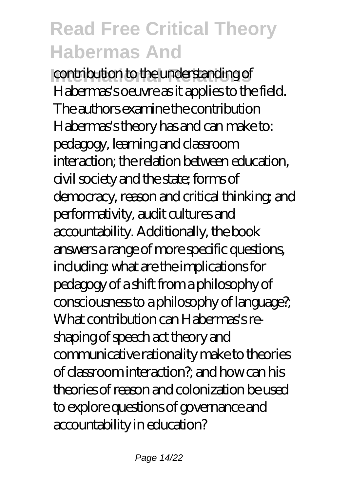**International Relations** contribution to the understanding of Habermas's oeuvre as it applies to the field. The authors examine the contribution Habermas's theory has and can make to: pedagogy, learning and classroom interaction; the relation between education, civil society and the state; forms of democracy, reason and critical thinking; and performativity, audit cultures and accountability. Additionally, the book answers a range of more specific questions, including: what are the implications for pedagogy of a shift from a philosophy of consciousness to a philosophy of language?; What contribution can Habermas's reshaping of speech act theory and communicative rationality make to theories of classroom interaction?; and how can his theories of reason and colonization be used to explore questions of governance and accountability in education?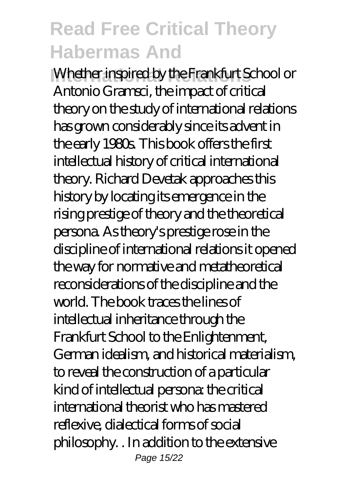**International Whether inspired by the Frankfurt School or** Antonio Gramsci, the impact of critical theory on the study of international relations has grown considerably since its advent in the early 1980s. This book offers the first intellectual history of critical international theory. Richard Devetak approaches this history by locating its emergence in the rising prestige of theory and the theoretical persona. As theory's prestige rose in the discipline of international relations it opened the way for normative and metatheoretical reconsiderations of the discipline and the world. The book traces the lines of intellectual inheritance through the Frankfurt School to the Enlightenment, German idealism, and historical materialism, to reveal the construction of a particular kind of intellectual persona: the critical international theorist who has mastered reflexive, dialectical forms of social philosophy. . In addition to the extensive Page 15/22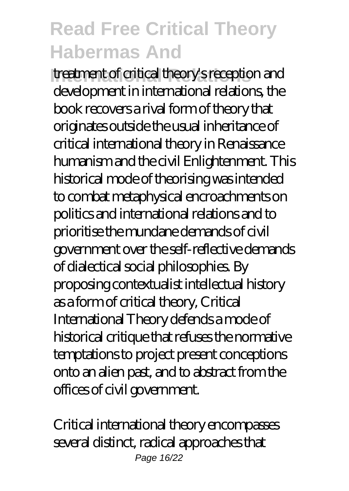**Integrational Critical theory's reception and** development in international relations, the book recovers a rival form of theory that originates outside the usual inheritance of critical international theory in Renaissance humanism and the civil Enlightenment. This historical mode of theorising was intended to combat metaphysical encroachments on politics and international relations and to prioritise the mundane demands of civil government over the self-reflective demands of dialectical social philosophies. By proposing contextualist intellectual history as a form of critical theory, Critical International Theory defends a mode of historical critique that refuses the normative temptations to project present conceptions onto an alien past, and to abstract from the offices of civil government.

Critical international theory encompasses several distinct, radical approaches that Page 16/22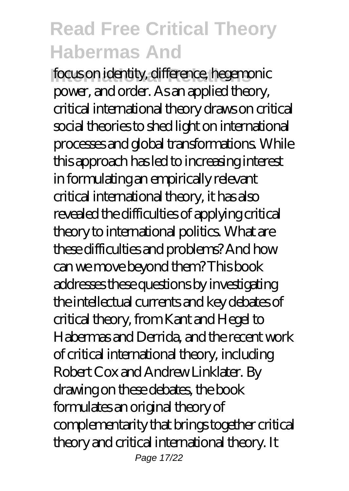**International Relations** focus on identity, difference, hegemonic power, and order. As an applied theory, critical international theory draws on critical social theories to shed light on international processes and global transformations. While this approach has led to increasing interest in formulating an empirically relevant critical international theory, it has also revealed the difficulties of applying critical theory to international politics. What are these difficulties and problems? And how can we move beyond them? This book addresses these questions by investigating the intellectual currents and key debates of critical theory, from Kant and Hegel to Habermas and Derrida, and the recent work of critical international theory, including Robert Cox and Andrew Linklater. By drawing on these debates, the book formulates an original theory of complementarity that brings together critical theory and critical international theory. It Page 17/22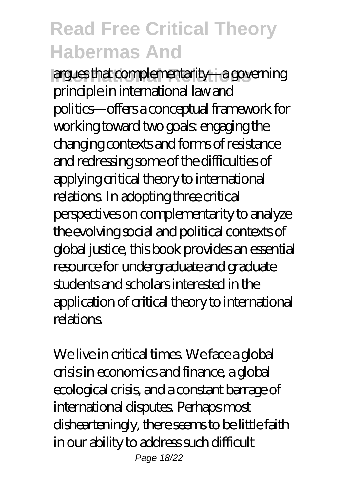**International Relations** argues that complementarity—a governing principle in international law and politics—offers a conceptual framework for working toward two goals: engaging the changing contexts and forms of resistance and redressing some of the difficulties of applying critical theory to international relations. In adopting three critical perspectives on complementarity to analyze the evolving social and political contexts of global justice, this book provides an essential resource for undergraduate and graduate students and scholars interested in the application of critical theory to international relations.

We live in critical times. We face a global crisis in economics and finance, a global ecological crisis, and a constant barrage of international disputes. Perhaps most dishearteningly, there seems to be little faith in our ability to address such difficult Page 18/22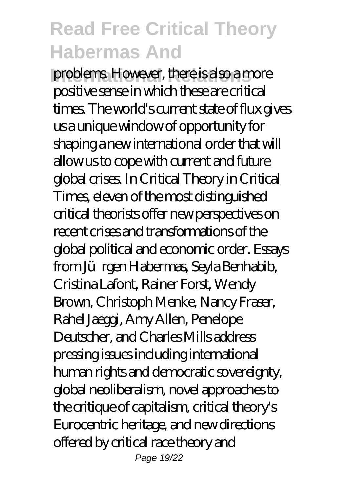**International Relations** However, there is also a more positive sense in which these are critical times. The world's current state of flux gives us a unique window of opportunity for shaping a new international order that will allow us to cope with current and future global crises. In Critical Theory in Critical Times, eleven of the most distinguished critical theorists offer new perspectives on recent crises and transformations of the global political and economic order. Essays from Jürgen Habermas, Seyla Benhabib, Cristina Lafont, Rainer Forst, Wendy Brown, Christoph Menke, Nancy Fraser, Rahel Jaeggi, Amy Allen, Penelope Deutscher, and Charles Mills address pressing issues including international human rights and democratic sovereignty, global neoliberalism, novel approaches to the critique of capitalism, critical theory's Eurocentric heritage, and new directions offered by critical race theory and Page 19/22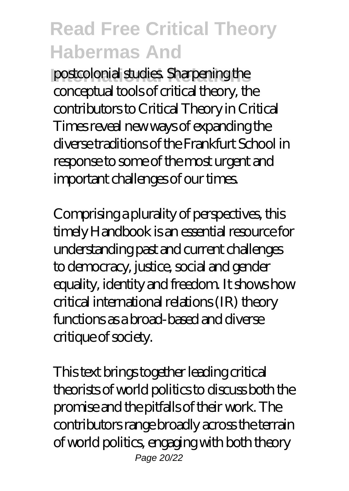**International Relations** postcolonial studies. Sharpening the conceptual tools of critical theory, the contributors to Critical Theory in Critical Times reveal new ways of expanding the diverse traditions of the Frankfurt School in response to some of the most urgent and important challenges of our times.

Comprising a plurality of perspectives, this timely Handbook is an essential resource for understanding past and current challenges to democracy, justice, social and gender equality, identity and freedom. It shows how critical international relations (IR) theory functions as a broad-based and diverse critique of society.

This text brings together leading critical theorists of world politics to discuss both the promise and the pitfalls of their work. The contributors range broadly across the terrain of world politics, engaging with both theory Page 20/22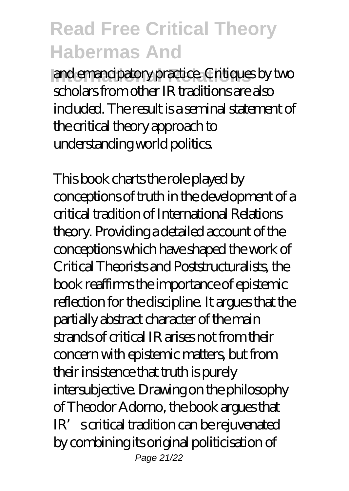and emancipatory practice. Critiques by two scholars from other IR traditions are also included. The result is a seminal statement of the critical theory approach to understanding world politics.

This book charts the role played by conceptions of truth in the development of a critical tradition of International Relations theory. Providing a detailed account of the conceptions which have shaped the work of Critical Theorists and Poststructuralists, the book reaffirms the importance of epistemic reflection for the discipline. It argues that the partially abstract character of the main strands of critical IR arises not from their concern with epistemic matters, but from their insistence that truth is purely intersubjective. Drawing on the philosophy of Theodor Adorno, the book argues that IR's critical tradition can be rejuvenated by combining its original politicisation of Page 21/22